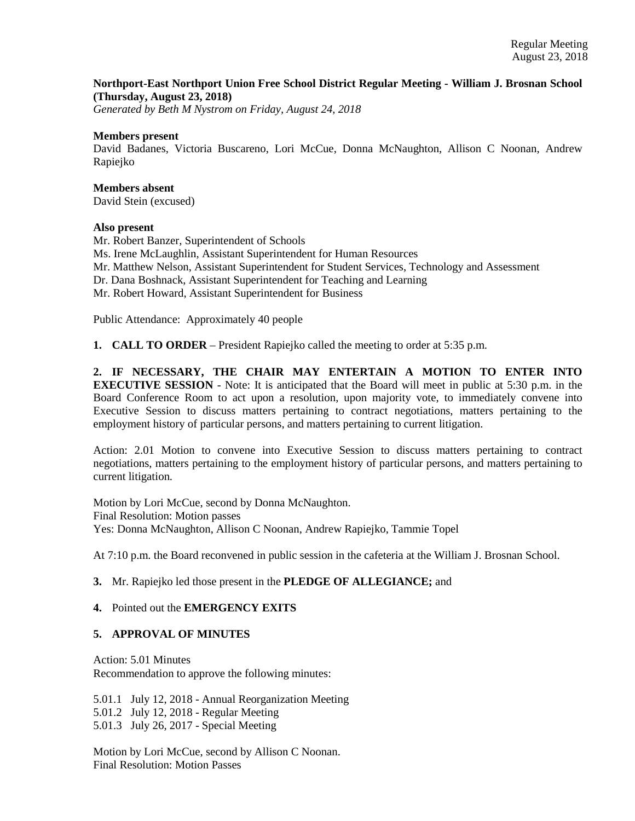## **Northport-East Northport Union Free School District Regular Meeting - William J. Brosnan School (Thursday, August 23, 2018)**

*Generated by Beth M Nystrom on Friday, August 24, 2018*

#### **Members present**

David Badanes, Victoria Buscareno, Lori McCue, Donna McNaughton, Allison C Noonan, Andrew Rapiejko

#### **Members absent**

David Stein (excused)

## **Also present**

Mr. Robert Banzer, Superintendent of Schools Ms. Irene McLaughlin, Assistant Superintendent for Human Resources Mr. Matthew Nelson, Assistant Superintendent for Student Services, Technology and Assessment Dr. Dana Boshnack, Assistant Superintendent for Teaching and Learning Mr. Robert Howard, Assistant Superintendent for Business

Public Attendance: Approximately 40 people

**1. CALL TO ORDER** – President Rapiejko called the meeting to order at 5:35 p.m.

**2. IF NECESSARY, THE CHAIR MAY ENTERTAIN A MOTION TO ENTER INTO EXECUTIVE SESSION** - Note: It is anticipated that the Board will meet in public at 5:30 p.m. in the Board Conference Room to act upon a resolution, upon majority vote, to immediately convene into Executive Session to discuss matters pertaining to contract negotiations, matters pertaining to the employment history of particular persons, and matters pertaining to current litigation.

Action: 2.01 Motion to convene into Executive Session to discuss matters pertaining to contract negotiations, matters pertaining to the employment history of particular persons, and matters pertaining to current litigation.

Motion by Lori McCue, second by Donna McNaughton. Final Resolution: Motion passes Yes: Donna McNaughton, Allison C Noonan, Andrew Rapiejko, Tammie Topel

At 7:10 p.m. the Board reconvened in public session in the cafeteria at the William J. Brosnan School.

## **3.** Mr. Rapiejko led those present in the **PLEDGE OF ALLEGIANCE;** and

#### **4.** Pointed out the **EMERGENCY EXITS**

## **5. APPROVAL OF MINUTES**

Action: 5.01 Minutes Recommendation to approve the following minutes:

5.01.1 July 12, 2018 - Annual Reorganization Meeting 5.01.2 July 12, 2018 - Regular Meeting 5.01.3 July 26, 2017 - Special Meeting

Motion by Lori McCue, second by Allison C Noonan. Final Resolution: Motion Passes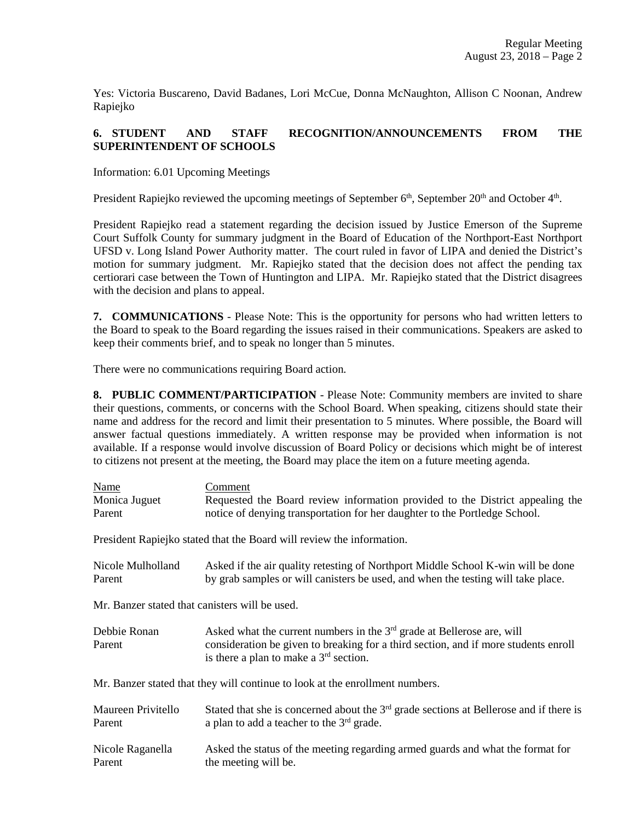Yes: Victoria Buscareno, David Badanes, Lori McCue, Donna McNaughton, Allison C Noonan, Andrew Rapiejko

# **6. STUDENT AND STAFF RECOGNITION/ANNOUNCEMENTS FROM THE SUPERINTENDENT OF SCHOOLS**

Information: 6.01 Upcoming Meetings

President Rapiejko reviewed the upcoming meetings of September  $6<sup>th</sup>$ , September  $20<sup>th</sup>$  and October  $4<sup>th</sup>$ .

President Rapiejko read a statement regarding the decision issued by Justice Emerson of the Supreme Court Suffolk County for summary judgment in the Board of Education of the Northport-East Northport UFSD v. Long Island Power Authority matter. The court ruled in favor of LIPA and denied the District's motion for summary judgment. Mr. Rapiejko stated that the decision does not affect the pending tax certiorari case between the Town of Huntington and LIPA. Mr. Rapiejko stated that the District disagrees with the decision and plans to appeal.

**7. COMMUNICATIONS** - Please Note: This is the opportunity for persons who had written letters to the Board to speak to the Board regarding the issues raised in their communications. Speakers are asked to keep their comments brief, and to speak no longer than 5 minutes.

There were no communications requiring Board action.

**8. PUBLIC COMMENT/PARTICIPATION** - Please Note: Community members are invited to share their questions, comments, or concerns with the School Board. When speaking, citizens should state their name and address for the record and limit their presentation to 5 minutes. Where possible, the Board will answer factual questions immediately. A written response may be provided when information is not available. If a response would involve discussion of Board Policy or decisions which might be of interest to citizens not present at the meeting, the Board may place the item on a future meeting agenda.

| Name                                                                         | Comment                                                                                                                         |
|------------------------------------------------------------------------------|---------------------------------------------------------------------------------------------------------------------------------|
| Monica Juguet                                                                | Requested the Board review information provided to the District appealing the                                                   |
| Parent                                                                       | notice of denying transportation for her daughter to the Portledge School.                                                      |
| President Rapiejko stated that the Board will review the information.        |                                                                                                                                 |
| Nicole Mulholland                                                            | Asked if the air quality retesting of Northport Middle School K-win will be done                                                |
| Parent                                                                       | by grab samples or will canisters be used, and when the testing will take place.                                                |
| Mr. Banzer stated that canisters will be used.                               |                                                                                                                                 |
| Debbie Ronan                                                                 | Asked what the current numbers in the $3rd$ grade at Bellerose are, will                                                        |
| Parent                                                                       | consideration be given to breaking for a third section, and if more students enroll<br>is there a plan to make a $3rd$ section. |
| Mr. Banzer stated that they will continue to look at the enrollment numbers. |                                                                                                                                 |
| Maureen Privitello                                                           | Stated that she is concerned about the $3rd$ grade sections at Bellerose and if there is                                        |
| Parent                                                                       | a plan to add a teacher to the $3rd$ grade.                                                                                     |
| Nicole Raganella                                                             | Asked the status of the meeting regarding armed guards and what the format for                                                  |
| Parent                                                                       | the meeting will be.                                                                                                            |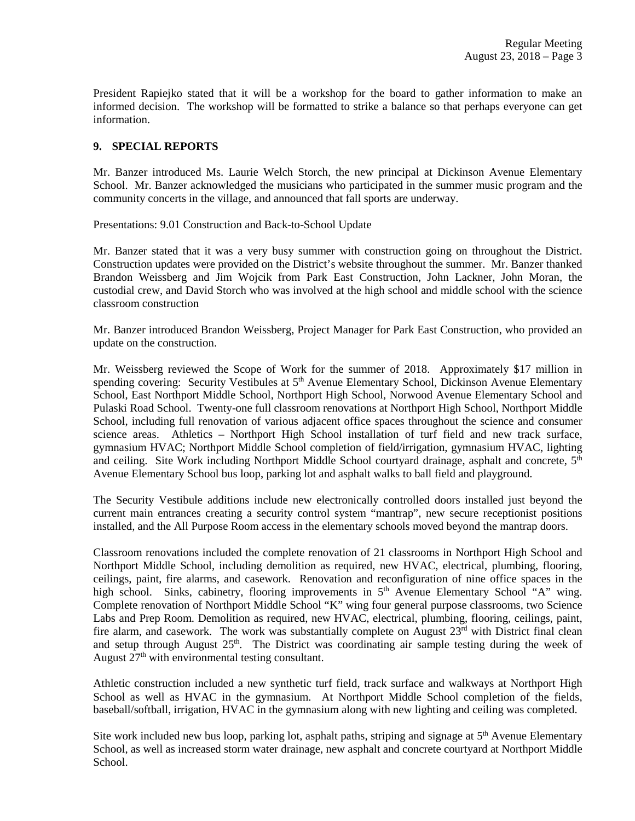President Rapiejko stated that it will be a workshop for the board to gather information to make an informed decision. The workshop will be formatted to strike a balance so that perhaps everyone can get information.

# **9. SPECIAL REPORTS**

Mr. Banzer introduced Ms. Laurie Welch Storch, the new principal at Dickinson Avenue Elementary School. Mr. Banzer acknowledged the musicians who participated in the summer music program and the community concerts in the village, and announced that fall sports are underway.

Presentations: 9.01 Construction and Back-to-School Update

Mr. Banzer stated that it was a very busy summer with construction going on throughout the District. Construction updates were provided on the District's website throughout the summer. Mr. Banzer thanked Brandon Weissberg and Jim Wojcik from Park East Construction, John Lackner, John Moran, the custodial crew, and David Storch who was involved at the high school and middle school with the science classroom construction

Mr. Banzer introduced Brandon Weissberg, Project Manager for Park East Construction, who provided an update on the construction.

Mr. Weissberg reviewed the Scope of Work for the summer of 2018. Approximately \$17 million in spending covering: Security Vestibules at 5<sup>th</sup> Avenue Elementary School, Dickinson Avenue Elementary School, East Northport Middle School, Northport High School, Norwood Avenue Elementary School and Pulaski Road School. Twenty-one full classroom renovations at Northport High School, Northport Middle School, including full renovation of various adjacent office spaces throughout the science and consumer science areas. Athletics – Northport High School installation of turf field and new track surface, gymnasium HVAC; Northport Middle School completion of field/irrigation, gymnasium HVAC, lighting and ceiling. Site Work including Northport Middle School courtyard drainage, asphalt and concrete, 5<sup>th</sup> Avenue Elementary School bus loop, parking lot and asphalt walks to ball field and playground.

The Security Vestibule additions include new electronically controlled doors installed just beyond the current main entrances creating a security control system "mantrap", new secure receptionist positions installed, and the All Purpose Room access in the elementary schools moved beyond the mantrap doors.

Classroom renovations included the complete renovation of 21 classrooms in Northport High School and Northport Middle School, including demolition as required, new HVAC, electrical, plumbing, flooring, ceilings, paint, fire alarms, and casework. Renovation and reconfiguration of nine office spaces in the high school. Sinks, cabinetry, flooring improvements in 5<sup>th</sup> Avenue Elementary School "A" wing. Complete renovation of Northport Middle School "K" wing four general purpose classrooms, two Science Labs and Prep Room. Demolition as required, new HVAC, electrical, plumbing, flooring, ceilings, paint, fire alarm, and casework. The work was substantially complete on August  $23<sup>rd</sup>$  with District final clean and setup through August 25<sup>th</sup>. The District was coordinating air sample testing during the week of August  $27<sup>th</sup>$  with environmental testing consultant.

Athletic construction included a new synthetic turf field, track surface and walkways at Northport High School as well as HVAC in the gymnasium. At Northport Middle School completion of the fields, baseball/softball, irrigation, HVAC in the gymnasium along with new lighting and ceiling was completed.

Site work included new bus loop, parking lot, asphalt paths, striping and signage at 5<sup>th</sup> Avenue Elementary School, as well as increased storm water drainage, new asphalt and concrete courtyard at Northport Middle School.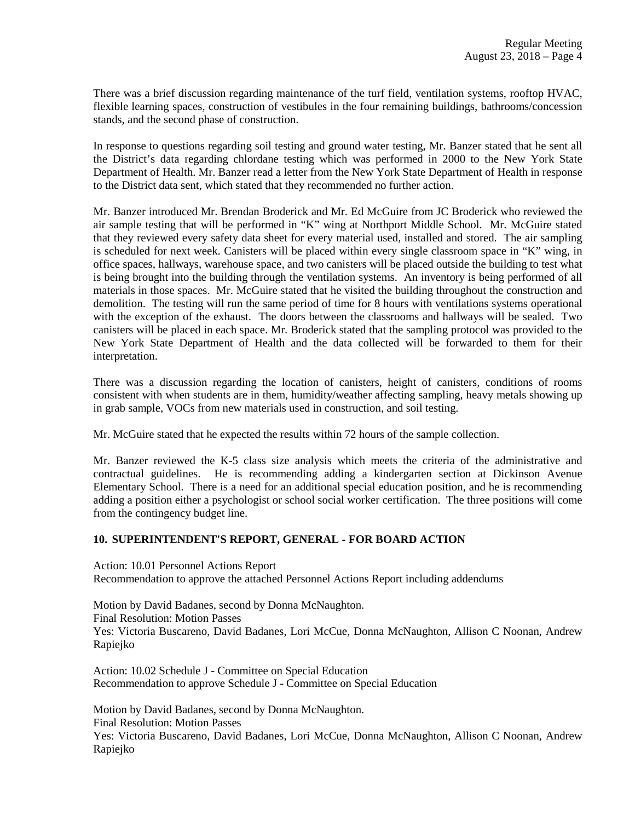There was a brief discussion regarding maintenance of the turf field, ventilation systems, rooftop HVAC, flexible learning spaces, construction of vestibules in the four remaining buildings, bathrooms/concession stands, and the second phase of construction.

In response to questions regarding soil testing and ground water testing, Mr. Banzer stated that he sent all the District's data regarding chlordane testing which was performed in 2000 to the New York State Department of Health. Mr. Banzer read a letter from the New York State Department of Health in response to the District data sent, which stated that they recommended no further action.

Mr. Banzer introduced Mr. Brendan Broderick and Mr. Ed McGuire from JC Broderick who reviewed the air sample testing that will be performed in "K" wing at Northport Middle School. Mr. McGuire stated that they reviewed every safety data sheet for every material used, installed and stored. The air sampling is scheduled for next week. Canisters will be placed within every single classroom space in "K" wing, in office spaces, hallways, warehouse space, and two canisters will be placed outside the building to test what is being brought into the building through the ventilation systems. An inventory is being performed of all materials in those spaces. Mr. McGuire stated that he visited the building throughout the construction and demolition. The testing will run the same period of time for 8 hours with ventilations systems operational with the exception of the exhaust. The doors between the classrooms and hallways will be sealed. Two canisters will be placed in each space. Mr. Broderick stated that the sampling protocol was provided to the New York State Department of Health and the data collected will be forwarded to them for their interpretation.

There was a discussion regarding the location of canisters, height of canisters, conditions of rooms consistent with when students are in them, humidity/weather affecting sampling, heavy metals showing up in grab sample, VOCs from new materials used in construction, and soil testing.

Mr. McGuire stated that he expected the results within 72 hours of the sample collection.

Mr. Banzer reviewed the K-5 class size analysis which meets the criteria of the administrative and contractual guidelines. He is recommending adding a kindergarten section at Dickinson Avenue Elementary School. There is a need for an additional special education position, and he is recommending adding a position either a psychologist or school social worker certification. The three positions will come from the contingency budget line.

## **10. SUPERINTENDENT'S REPORT, GENERAL - FOR BOARD ACTION**

Action: 10.01 Personnel Actions Report Recommendation to approve the attached Personnel Actions Report including addendums

Motion by David Badanes, second by Donna McNaughton. Final Resolution: Motion Passes Yes: Victoria Buscareno, David Badanes, Lori McCue, Donna McNaughton, Allison C Noonan, Andrew Rapiejko

Action: 10.02 Schedule J - Committee on Special Education Recommendation to approve Schedule J - Committee on Special Education

Motion by David Badanes, second by Donna McNaughton. Final Resolution: Motion Passes Yes: Victoria Buscareno, David Badanes, Lori McCue, Donna McNaughton, Allison C Noonan, Andrew Rapiejko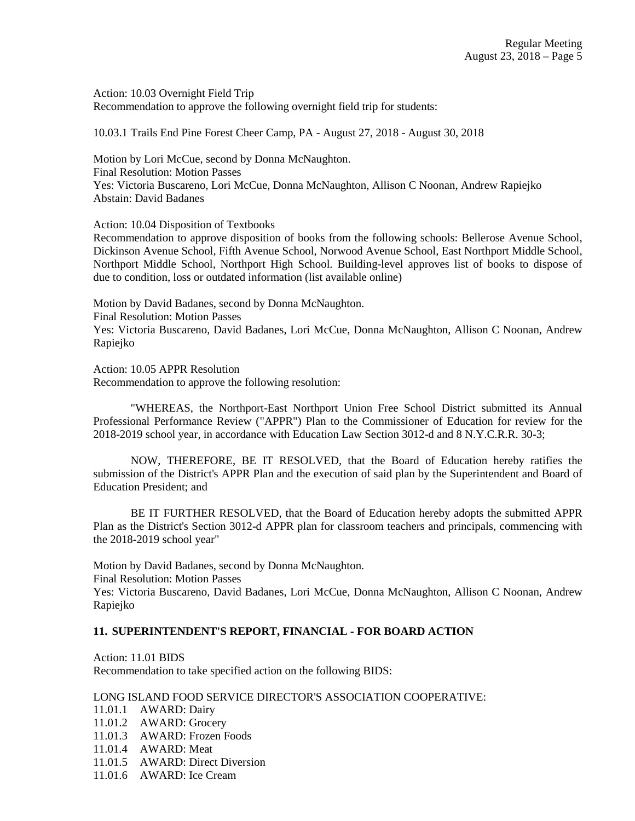Action: 10.03 Overnight Field Trip Recommendation to approve the following overnight field trip for students:

10.03.1 Trails End Pine Forest Cheer Camp, PA - August 27, 2018 - August 30, 2018

Motion by Lori McCue, second by Donna McNaughton. Final Resolution: Motion Passes Yes: Victoria Buscareno, Lori McCue, Donna McNaughton, Allison C Noonan, Andrew Rapiejko Abstain: David Badanes

Action: 10.04 Disposition of Textbooks

Recommendation to approve disposition of books from the following schools: Bellerose Avenue School, Dickinson Avenue School, Fifth Avenue School, Norwood Avenue School, East Northport Middle School, Northport Middle School, Northport High School. Building-level approves list of books to dispose of due to condition, loss or outdated information (list available online)

Motion by David Badanes, second by Donna McNaughton. Final Resolution: Motion Passes Yes: Victoria Buscareno, David Badanes, Lori McCue, Donna McNaughton, Allison C Noonan, Andrew Rapiejko

Action: 10.05 APPR Resolution Recommendation to approve the following resolution:

"WHEREAS, the Northport-East Northport Union Free School District submitted its Annual Professional Performance Review ("APPR") Plan to the Commissioner of Education for review for the 2018-2019 school year, in accordance with Education Law Section 3012-d and 8 N.Y.C.R.R. 30-3;

NOW, THEREFORE, BE IT RESOLVED, that the Board of Education hereby ratifies the submission of the District's APPR Plan and the execution of said plan by the Superintendent and Board of Education President; and

BE IT FURTHER RESOLVED, that the Board of Education hereby adopts the submitted APPR Plan as the District's Section 3012-d APPR plan for classroom teachers and principals, commencing with the 2018-2019 school year"

Motion by David Badanes, second by Donna McNaughton.

Final Resolution: Motion Passes

Yes: Victoria Buscareno, David Badanes, Lori McCue, Donna McNaughton, Allison C Noonan, Andrew Rapiejko

#### **11. SUPERINTENDENT'S REPORT, FINANCIAL - FOR BOARD ACTION**

Action: 11.01 BIDS Recommendation to take specified action on the following BIDS:

### LONG ISLAND FOOD SERVICE DIRECTOR'S ASSOCIATION COOPERATIVE:

- 11.01.1 AWARD: Dairy
- 11.01.2 AWARD: Grocery
- 11.01.3 AWARD: Frozen Foods
- 11.01.4 AWARD: Meat
- 11.01.5 AWARD: Direct Diversion
- 11.01.6 AWARD: Ice Cream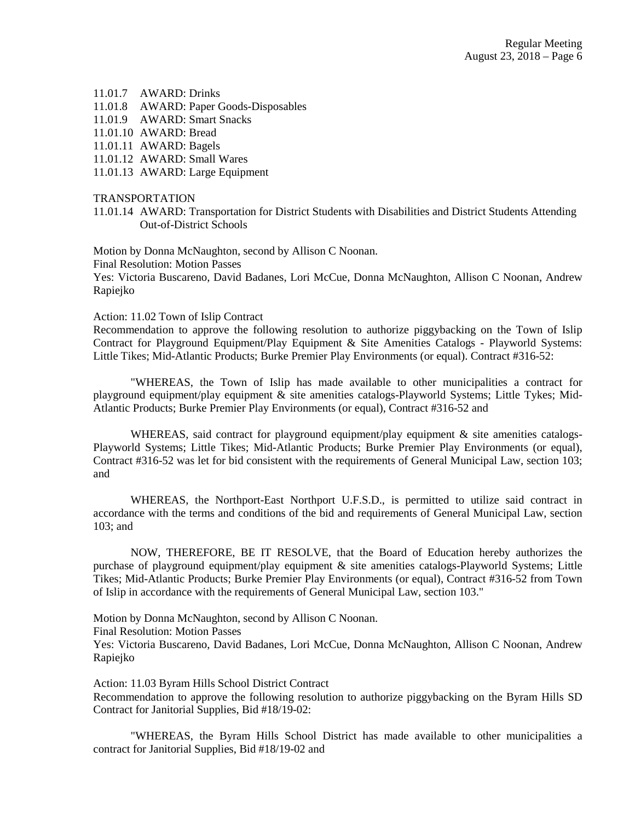#### 11.01.7 AWARD: Drinks

- 11.01.8 AWARD: Paper Goods-Disposables
- 11.01.9 AWARD: Smart Snacks
- 11.01.10 AWARD: Bread
- 11.01.11 AWARD: Bagels
- 11.01.12 AWARD: Small Wares
- 11.01.13 AWARD: Large Equipment

#### TRANSPORTATION

11.01.14 AWARD: Transportation for District Students with Disabilities and District Students Attending Out-of-District Schools

Motion by Donna McNaughton, second by Allison C Noonan.

Final Resolution: Motion Passes

Yes: Victoria Buscareno, David Badanes, Lori McCue, Donna McNaughton, Allison C Noonan, Andrew Rapiejko

#### Action: 11.02 Town of Islip Contract

Recommendation to approve the following resolution to authorize piggybacking on the Town of Islip Contract for Playground Equipment/Play Equipment & Site Amenities Catalogs - Playworld Systems: Little Tikes; Mid-Atlantic Products; Burke Premier Play Environments (or equal). Contract #316-52:

"WHEREAS, the Town of Islip has made available to other municipalities a contract for playground equipment/play equipment & site amenities catalogs-Playworld Systems; Little Tykes; Mid-Atlantic Products; Burke Premier Play Environments (or equal), Contract #316-52 and

WHEREAS, said contract for playground equipment/play equipment  $\&$  site amenities catalogs-Playworld Systems; Little Tikes; Mid-Atlantic Products; Burke Premier Play Environments (or equal), Contract #316-52 was let for bid consistent with the requirements of General Municipal Law, section 103; and

WHEREAS, the Northport-East Northport U.F.S.D., is permitted to utilize said contract in accordance with the terms and conditions of the bid and requirements of General Municipal Law, section 103; and

NOW, THEREFORE, BE IT RESOLVE, that the Board of Education hereby authorizes the purchase of playground equipment/play equipment & site amenities catalogs-Playworld Systems; Little Tikes; Mid-Atlantic Products; Burke Premier Play Environments (or equal), Contract #316-52 from Town of Islip in accordance with the requirements of General Municipal Law, section 103."

Motion by Donna McNaughton, second by Allison C Noonan.

Final Resolution: Motion Passes

Yes: Victoria Buscareno, David Badanes, Lori McCue, Donna McNaughton, Allison C Noonan, Andrew Rapiejko

Action: 11.03 Byram Hills School District Contract

Recommendation to approve the following resolution to authorize piggybacking on the Byram Hills SD Contract for Janitorial Supplies, Bid #18/19-02:

"WHEREAS, the Byram Hills School District has made available to other municipalities a contract for Janitorial Supplies, Bid #18/19-02 and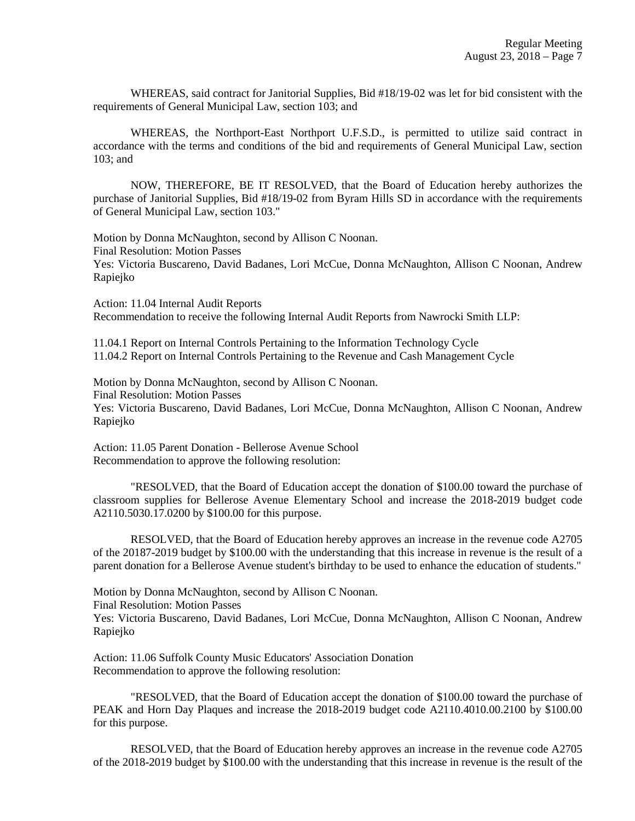WHEREAS, said contract for Janitorial Supplies, Bid #18/19-02 was let for bid consistent with the requirements of General Municipal Law, section 103; and

WHEREAS, the Northport-East Northport U.F.S.D., is permitted to utilize said contract in accordance with the terms and conditions of the bid and requirements of General Municipal Law, section 103; and

NOW, THEREFORE, BE IT RESOLVED, that the Board of Education hereby authorizes the purchase of Janitorial Supplies, Bid #18/19-02 from Byram Hills SD in accordance with the requirements of General Municipal Law, section 103."

Motion by Donna McNaughton, second by Allison C Noonan. Final Resolution: Motion Passes Yes: Victoria Buscareno, David Badanes, Lori McCue, Donna McNaughton, Allison C Noonan, Andrew Rapiejko

Action: 11.04 Internal Audit Reports Recommendation to receive the following Internal Audit Reports from Nawrocki Smith LLP:

11.04.1 Report on Internal Controls Pertaining to the Information Technology Cycle 11.04.2 Report on Internal Controls Pertaining to the Revenue and Cash Management Cycle

Motion by Donna McNaughton, second by Allison C Noonan. Final Resolution: Motion Passes Yes: Victoria Buscareno, David Badanes, Lori McCue, Donna McNaughton, Allison C Noonan, Andrew Rapiejko

Action: 11.05 Parent Donation - Bellerose Avenue School Recommendation to approve the following resolution:

"RESOLVED, that the Board of Education accept the donation of \$100.00 toward the purchase of classroom supplies for Bellerose Avenue Elementary School and increase the 2018-2019 budget code A2110.5030.17.0200 by \$100.00 for this purpose.

RESOLVED, that the Board of Education hereby approves an increase in the revenue code A2705 of the 20187-2019 budget by \$100.00 with the understanding that this increase in revenue is the result of a parent donation for a Bellerose Avenue student's birthday to be used to enhance the education of students."

Motion by Donna McNaughton, second by Allison C Noonan.

Final Resolution: Motion Passes

Yes: Victoria Buscareno, David Badanes, Lori McCue, Donna McNaughton, Allison C Noonan, Andrew Rapiejko

Action: 11.06 Suffolk County Music Educators' Association Donation Recommendation to approve the following resolution:

"RESOLVED, that the Board of Education accept the donation of \$100.00 toward the purchase of PEAK and Horn Day Plaques and increase the 2018-2019 budget code A2110.4010.00.2100 by \$100.00 for this purpose.

RESOLVED, that the Board of Education hereby approves an increase in the revenue code A2705 of the 2018-2019 budget by \$100.00 with the understanding that this increase in revenue is the result of the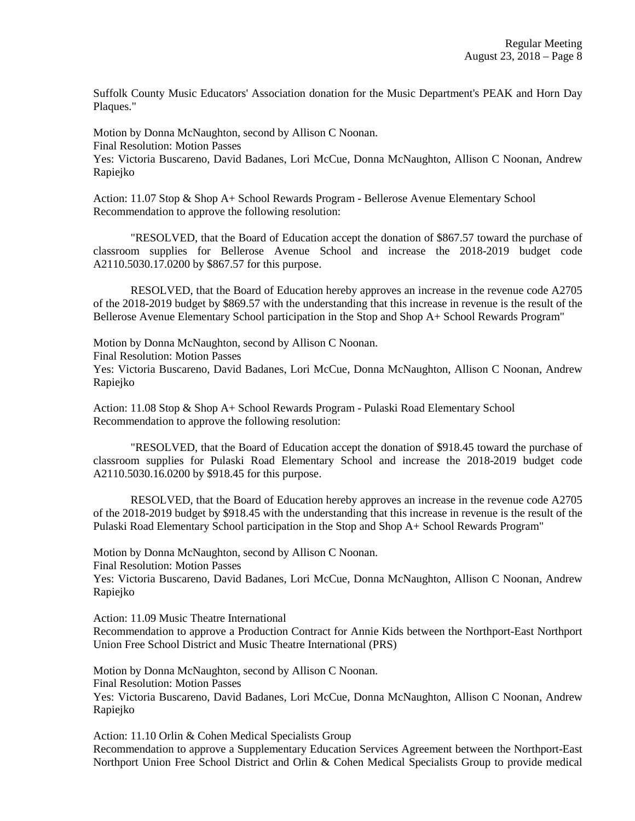Suffolk County Music Educators' Association donation for the Music Department's PEAK and Horn Day Plaques."

Motion by Donna McNaughton, second by Allison C Noonan. Final Resolution: Motion Passes Yes: Victoria Buscareno, David Badanes, Lori McCue, Donna McNaughton, Allison C Noonan, Andrew Rapiejko

Action: 11.07 Stop & Shop A+ School Rewards Program - Bellerose Avenue Elementary School Recommendation to approve the following resolution:

"RESOLVED, that the Board of Education accept the donation of \$867.57 toward the purchase of classroom supplies for Bellerose Avenue School and increase the 2018-2019 budget code A2110.5030.17.0200 by \$867.57 for this purpose.

RESOLVED, that the Board of Education hereby approves an increase in the revenue code A2705 of the 2018-2019 budget by \$869.57 with the understanding that this increase in revenue is the result of the Bellerose Avenue Elementary School participation in the Stop and Shop A+ School Rewards Program"

Motion by Donna McNaughton, second by Allison C Noonan. Final Resolution: Motion Passes Yes: Victoria Buscareno, David Badanes, Lori McCue, Donna McNaughton, Allison C Noonan, Andrew Rapiejko

Action: 11.08 Stop & Shop A+ School Rewards Program - Pulaski Road Elementary School Recommendation to approve the following resolution:

"RESOLVED, that the Board of Education accept the donation of \$918.45 toward the purchase of classroom supplies for Pulaski Road Elementary School and increase the 2018-2019 budget code A2110.5030.16.0200 by \$918.45 for this purpose.

RESOLVED, that the Board of Education hereby approves an increase in the revenue code A2705 of the 2018-2019 budget by \$918.45 with the understanding that this increase in revenue is the result of the Pulaski Road Elementary School participation in the Stop and Shop A+ School Rewards Program"

Motion by Donna McNaughton, second by Allison C Noonan.

Final Resolution: Motion Passes

Yes: Victoria Buscareno, David Badanes, Lori McCue, Donna McNaughton, Allison C Noonan, Andrew Rapiejko

Action: 11.09 Music Theatre International

Recommendation to approve a Production Contract for Annie Kids between the Northport-East Northport Union Free School District and Music Theatre International (PRS)

Motion by Donna McNaughton, second by Allison C Noonan. Final Resolution: Motion Passes Yes: Victoria Buscareno, David Badanes, Lori McCue, Donna McNaughton, Allison C Noonan, Andrew Rapiejko

Action: 11.10 Orlin & Cohen Medical Specialists Group Recommendation to approve a Supplementary Education Services Agreement between the Northport-East Northport Union Free School District and Orlin & Cohen Medical Specialists Group to provide medical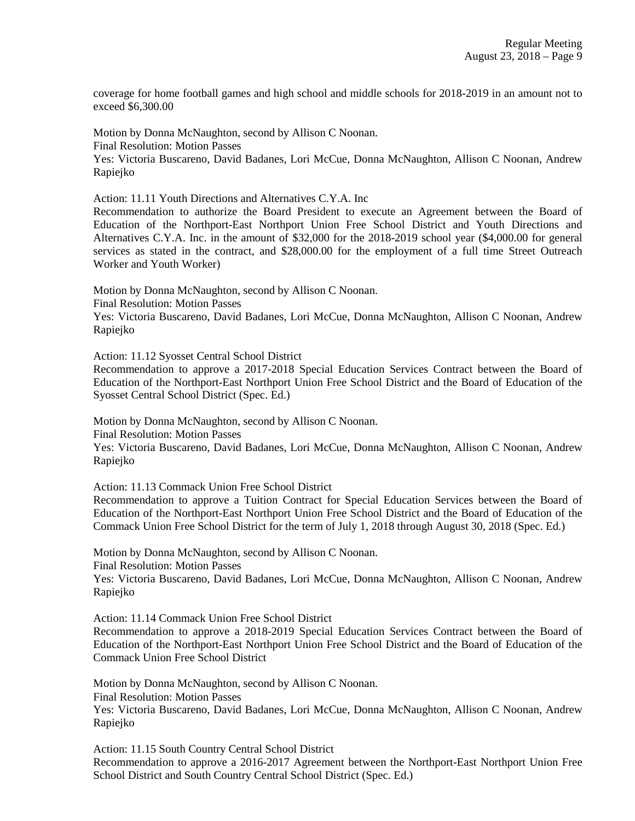coverage for home football games and high school and middle schools for 2018-2019 in an amount not to exceed \$6,300.00

Motion by Donna McNaughton, second by Allison C Noonan. Final Resolution: Motion Passes Yes: Victoria Buscareno, David Badanes, Lori McCue, Donna McNaughton, Allison C Noonan, Andrew Rapiejko

Action: 11.11 Youth Directions and Alternatives C.Y.A. Inc

Recommendation to authorize the Board President to execute an Agreement between the Board of Education of the Northport-East Northport Union Free School District and Youth Directions and Alternatives C.Y.A. Inc. in the amount of \$32,000 for the 2018-2019 school year (\$4,000.00 for general services as stated in the contract, and \$28,000.00 for the employment of a full time Street Outreach Worker and Youth Worker)

Motion by Donna McNaughton, second by Allison C Noonan.

Final Resolution: Motion Passes

Yes: Victoria Buscareno, David Badanes, Lori McCue, Donna McNaughton, Allison C Noonan, Andrew Rapiejko

Action: 11.12 Syosset Central School District

Recommendation to approve a 2017-2018 Special Education Services Contract between the Board of Education of the Northport-East Northport Union Free School District and the Board of Education of the Syosset Central School District (Spec. Ed.)

Motion by Donna McNaughton, second by Allison C Noonan.

Final Resolution: Motion Passes

Yes: Victoria Buscareno, David Badanes, Lori McCue, Donna McNaughton, Allison C Noonan, Andrew Rapiejko

Action: 11.13 Commack Union Free School District

Recommendation to approve a Tuition Contract for Special Education Services between the Board of Education of the Northport-East Northport Union Free School District and the Board of Education of the Commack Union Free School District for the term of July 1, 2018 through August 30, 2018 (Spec. Ed.)

Motion by Donna McNaughton, second by Allison C Noonan.

Final Resolution: Motion Passes

Yes: Victoria Buscareno, David Badanes, Lori McCue, Donna McNaughton, Allison C Noonan, Andrew Rapiejko

Action: 11.14 Commack Union Free School District

Recommendation to approve a 2018-2019 Special Education Services Contract between the Board of Education of the Northport-East Northport Union Free School District and the Board of Education of the Commack Union Free School District

Motion by Donna McNaughton, second by Allison C Noonan.

Final Resolution: Motion Passes

Yes: Victoria Buscareno, David Badanes, Lori McCue, Donna McNaughton, Allison C Noonan, Andrew Rapiejko

Action: 11.15 South Country Central School District Recommendation to approve a 2016-2017 Agreement between the Northport-East Northport Union Free School District and South Country Central School District (Spec. Ed.)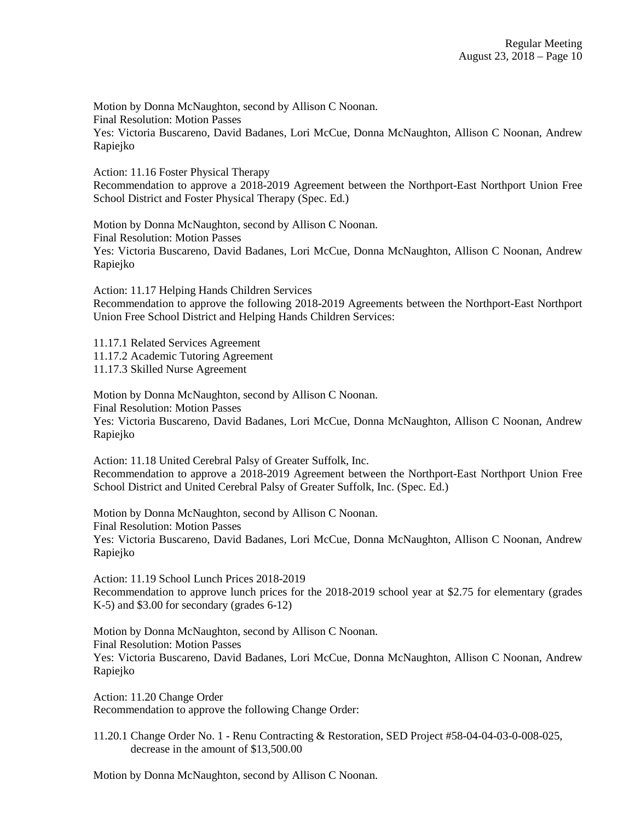Motion by Donna McNaughton, second by Allison C Noonan. Final Resolution: Motion Passes Yes: Victoria Buscareno, David Badanes, Lori McCue, Donna McNaughton, Allison C Noonan, Andrew Rapiejko

Action: 11.16 Foster Physical Therapy Recommendation to approve a 2018-2019 Agreement between the Northport-East Northport Union Free School District and Foster Physical Therapy (Spec. Ed.)

Motion by Donna McNaughton, second by Allison C Noonan. Final Resolution: Motion Passes Yes: Victoria Buscareno, David Badanes, Lori McCue, Donna McNaughton, Allison C Noonan, Andrew Rapiejko

Action: 11.17 Helping Hands Children Services Recommendation to approve the following 2018-2019 Agreements between the Northport-East Northport Union Free School District and Helping Hands Children Services:

11.17.1 Related Services Agreement 11.17.2 Academic Tutoring Agreement 11.17.3 Skilled Nurse Agreement

Motion by Donna McNaughton, second by Allison C Noonan. Final Resolution: Motion Passes Yes: Victoria Buscareno, David Badanes, Lori McCue, Donna McNaughton, Allison C Noonan, Andrew Rapiejko

Action: 11.18 United Cerebral Palsy of Greater Suffolk, Inc. Recommendation to approve a 2018-2019 Agreement between the Northport-East Northport Union Free School District and United Cerebral Palsy of Greater Suffolk, Inc. (Spec. Ed.)

Motion by Donna McNaughton, second by Allison C Noonan. Final Resolution: Motion Passes Yes: Victoria Buscareno, David Badanes, Lori McCue, Donna McNaughton, Allison C Noonan, Andrew Rapiejko

Action: 11.19 School Lunch Prices 2018-2019 Recommendation to approve lunch prices for the 2018-2019 school year at \$2.75 for elementary (grades K-5) and \$3.00 for secondary (grades 6-12)

Motion by Donna McNaughton, second by Allison C Noonan. Final Resolution: Motion Passes Yes: Victoria Buscareno, David Badanes, Lori McCue, Donna McNaughton, Allison C Noonan, Andrew Rapiejko

Action: 11.20 Change Order Recommendation to approve the following Change Order:

11.20.1 Change Order No. 1 - Renu Contracting & Restoration, SED Project #58-04-04-03-0-008-025, decrease in the amount of \$13,500.00

Motion by Donna McNaughton, second by Allison C Noonan.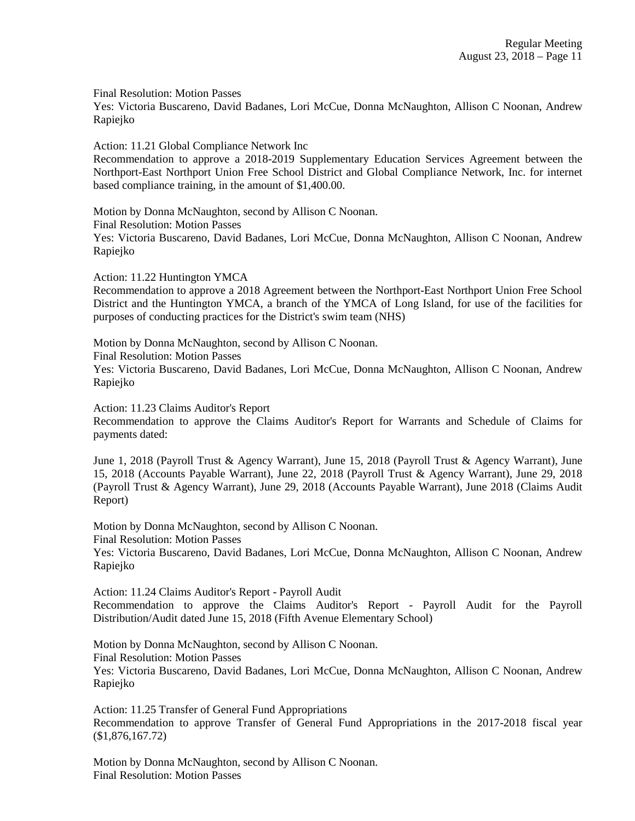Final Resolution: Motion Passes

Yes: Victoria Buscareno, David Badanes, Lori McCue, Donna McNaughton, Allison C Noonan, Andrew Rapiejko

Action: 11.21 Global Compliance Network Inc

Recommendation to approve a 2018-2019 Supplementary Education Services Agreement between the Northport-East Northport Union Free School District and Global Compliance Network, Inc. for internet based compliance training, in the amount of \$1,400.00.

Motion by Donna McNaughton, second by Allison C Noonan. Final Resolution: Motion Passes Yes: Victoria Buscareno, David Badanes, Lori McCue, Donna McNaughton, Allison C Noonan, Andrew Rapiejko

Action: 11.22 Huntington YMCA

Recommendation to approve a 2018 Agreement between the Northport-East Northport Union Free School District and the Huntington YMCA, a branch of the YMCA of Long Island, for use of the facilities for purposes of conducting practices for the District's swim team (NHS)

Motion by Donna McNaughton, second by Allison C Noonan.

Final Resolution: Motion Passes

Yes: Victoria Buscareno, David Badanes, Lori McCue, Donna McNaughton, Allison C Noonan, Andrew Rapiejko

Action: 11.23 Claims Auditor's Report

Recommendation to approve the Claims Auditor's Report for Warrants and Schedule of Claims for payments dated:

June 1, 2018 (Payroll Trust & Agency Warrant), June 15, 2018 (Payroll Trust & Agency Warrant), June 15, 2018 (Accounts Payable Warrant), June 22, 2018 (Payroll Trust & Agency Warrant), June 29, 2018 (Payroll Trust & Agency Warrant), June 29, 2018 (Accounts Payable Warrant), June 2018 (Claims Audit Report)

Motion by Donna McNaughton, second by Allison C Noonan. Final Resolution: Motion Passes Yes: Victoria Buscareno, David Badanes, Lori McCue, Donna McNaughton, Allison C Noonan, Andrew Rapiejko

Action: 11.24 Claims Auditor's Report - Payroll Audit Recommendation to approve the Claims Auditor's Report - Payroll Audit for the Payroll Distribution/Audit dated June 15, 2018 (Fifth Avenue Elementary School)

Motion by Donna McNaughton, second by Allison C Noonan. Final Resolution: Motion Passes Yes: Victoria Buscareno, David Badanes, Lori McCue, Donna McNaughton, Allison C Noonan, Andrew Rapiejko

Action: 11.25 Transfer of General Fund Appropriations Recommendation to approve Transfer of General Fund Appropriations in the 2017-2018 fiscal year (\$1,876,167.72)

Motion by Donna McNaughton, second by Allison C Noonan. Final Resolution: Motion Passes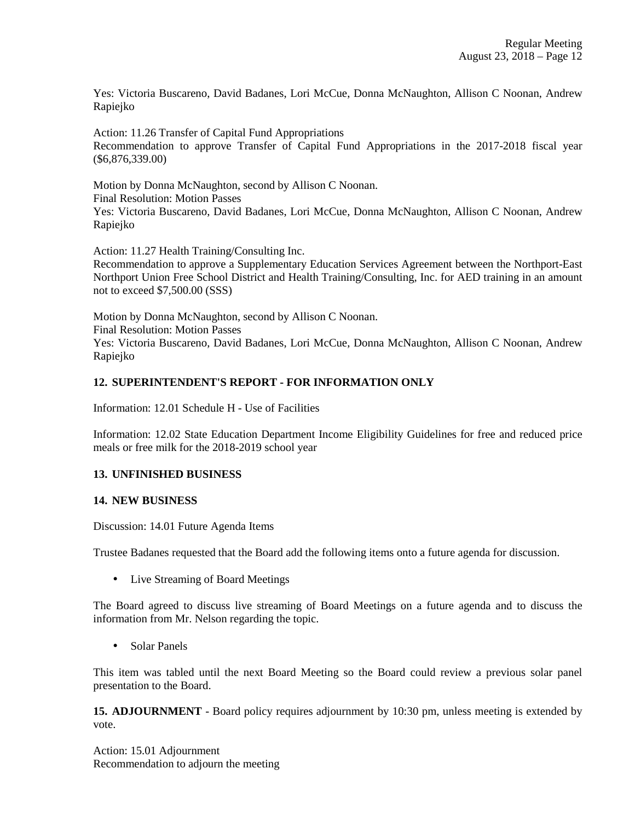Yes: Victoria Buscareno, David Badanes, Lori McCue, Donna McNaughton, Allison C Noonan, Andrew Rapiejko

Action: 11.26 Transfer of Capital Fund Appropriations Recommendation to approve Transfer of Capital Fund Appropriations in the 2017-2018 fiscal year (\$6,876,339.00)

Motion by Donna McNaughton, second by Allison C Noonan. Final Resolution: Motion Passes Yes: Victoria Buscareno, David Badanes, Lori McCue, Donna McNaughton, Allison C Noonan, Andrew Rapiejko

Action: 11.27 Health Training/Consulting Inc. Recommendation to approve a Supplementary Education Services Agreement between the Northport-East Northport Union Free School District and Health Training/Consulting, Inc. for AED training in an amount not to exceed \$7,500.00 (SSS)

Motion by Donna McNaughton, second by Allison C Noonan. Final Resolution: Motion Passes Yes: Victoria Buscareno, David Badanes, Lori McCue, Donna McNaughton, Allison C Noonan, Andrew Rapiejko

# **12. SUPERINTENDENT'S REPORT - FOR INFORMATION ONLY**

Information: 12.01 Schedule H - Use of Facilities

Information: 12.02 State Education Department Income Eligibility Guidelines for free and reduced price meals or free milk for the 2018-2019 school year

## **13. UNFINISHED BUSINESS**

## **14. NEW BUSINESS**

Discussion: 14.01 Future Agenda Items

Trustee Badanes requested that the Board add the following items onto a future agenda for discussion.

• Live Streaming of Board Meetings

The Board agreed to discuss live streaming of Board Meetings on a future agenda and to discuss the information from Mr. Nelson regarding the topic.

• Solar Panels

This item was tabled until the next Board Meeting so the Board could review a previous solar panel presentation to the Board.

**15. ADJOURNMENT** - Board policy requires adjournment by 10:30 pm, unless meeting is extended by vote.

Action: 15.01 Adjournment Recommendation to adjourn the meeting